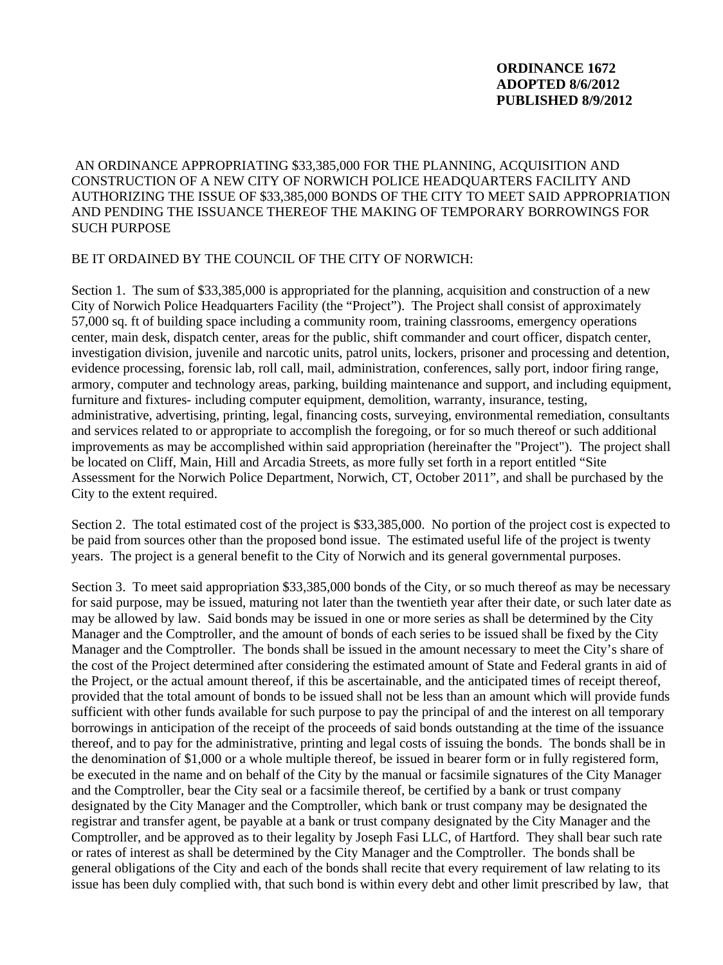## **ORDINANCE 1672 ADOPTED 8/6/2012 PUBLISHED 8/9/2012**

AN ORDINANCE APPROPRIATING \$33,385,000 FOR THE PLANNING, ACQUISITION AND CONSTRUCTION OF A NEW CITY OF NORWICH POLICE HEADQUARTERS FACILITY AND AUTHORIZING THE ISSUE OF \$33,385,000 BONDS OF THE CITY TO MEET SAID APPROPRIATION AND PENDING THE ISSUANCE THEREOF THE MAKING OF TEMPORARY BORROWINGS FOR SUCH PURPOSE

## BE IT ORDAINED BY THE COUNCIL OF THE CITY OF NORWICH:

Section 1. The sum of \$33,385,000 is appropriated for the planning, acquisition and construction of a new City of Norwich Police Headquarters Facility (the "Project"). The Project shall consist of approximately 57,000 sq. ft of building space including a community room, training classrooms, emergency operations center, main desk, dispatch center, areas for the public, shift commander and court officer, dispatch center, investigation division, juvenile and narcotic units, patrol units, lockers, prisoner and processing and detention, evidence processing, forensic lab, roll call, mail, administration, conferences, sally port, indoor firing range, armory, computer and technology areas, parking, building maintenance and support, and including equipment, furniture and fixtures- including computer equipment, demolition, warranty, insurance, testing, administrative, advertising, printing, legal, financing costs, surveying, environmental remediation, consultants and services related to or appropriate to accomplish the foregoing, or for so much thereof or such additional improvements as may be accomplished within said appropriation (hereinafter the "Project"). The project shall be located on Cliff, Main, Hill and Arcadia Streets, as more fully set forth in a report entitled "Site Assessment for the Norwich Police Department, Norwich, CT, October 2011", and shall be purchased by the City to the extent required.

Section 2. The total estimated cost of the project is \$33,385,000. No portion of the project cost is expected to be paid from sources other than the proposed bond issue. The estimated useful life of the project is twenty years. The project is a general benefit to the City of Norwich and its general governmental purposes.

Section 3. To meet said appropriation \$33,385,000 bonds of the City, or so much thereof as may be necessary for said purpose, may be issued, maturing not later than the twentieth year after their date, or such later date as may be allowed by law. Said bonds may be issued in one or more series as shall be determined by the City Manager and the Comptroller, and the amount of bonds of each series to be issued shall be fixed by the City Manager and the Comptroller. The bonds shall be issued in the amount necessary to meet the City's share of the cost of the Project determined after considering the estimated amount of State and Federal grants in aid of the Project, or the actual amount thereof, if this be ascertainable, and the anticipated times of receipt thereof, provided that the total amount of bonds to be issued shall not be less than an amount which will provide funds sufficient with other funds available for such purpose to pay the principal of and the interest on all temporary borrowings in anticipation of the receipt of the proceeds of said bonds outstanding at the time of the issuance thereof, and to pay for the administrative, printing and legal costs of issuing the bonds. The bonds shall be in the denomination of \$1,000 or a whole multiple thereof, be issued in bearer form or in fully registered form, be executed in the name and on behalf of the City by the manual or facsimile signatures of the City Manager and the Comptroller, bear the City seal or a facsimile thereof, be certified by a bank or trust company designated by the City Manager and the Comptroller, which bank or trust company may be designated the registrar and transfer agent, be payable at a bank or trust company designated by the City Manager and the Comptroller, and be approved as to their legality by Joseph Fasi LLC, of Hartford. They shall bear such rate or rates of interest as shall be determined by the City Manager and the Comptroller. The bonds shall be general obligations of the City and each of the bonds shall recite that every requirement of law relating to its issue has been duly complied with, that such bond is within every debt and other limit prescribed by law, that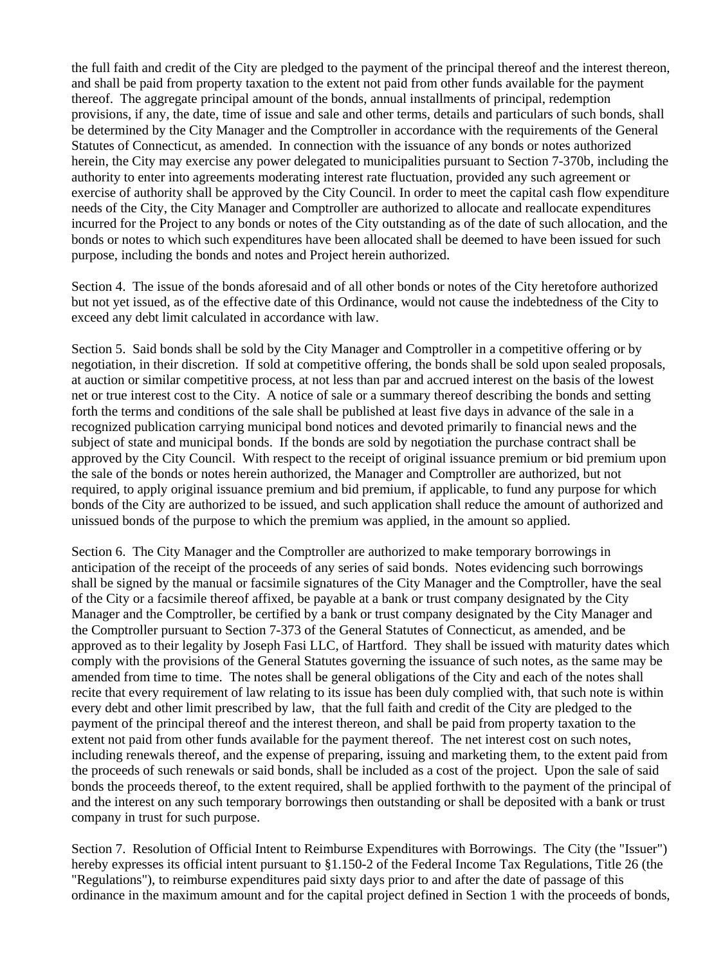the full faith and credit of the City are pledged to the payment of the principal thereof and the interest thereon, and shall be paid from property taxation to the extent not paid from other funds available for the payment thereof. The aggregate principal amount of the bonds, annual installments of principal, redemption provisions, if any, the date, time of issue and sale and other terms, details and particulars of such bonds, shall be determined by the City Manager and the Comptroller in accordance with the requirements of the General Statutes of Connecticut, as amended. In connection with the issuance of any bonds or notes authorized herein, the City may exercise any power delegated to municipalities pursuant to Section 7-370b, including the authority to enter into agreements moderating interest rate fluctuation, provided any such agreement or exercise of authority shall be approved by the City Council. In order to meet the capital cash flow expenditure needs of the City, the City Manager and Comptroller are authorized to allocate and reallocate expenditures incurred for the Project to any bonds or notes of the City outstanding as of the date of such allocation, and the bonds or notes to which such expenditures have been allocated shall be deemed to have been issued for such purpose, including the bonds and notes and Project herein authorized.

Section 4. The issue of the bonds aforesaid and of all other bonds or notes of the City heretofore authorized but not yet issued, as of the effective date of this Ordinance, would not cause the indebtedness of the City to exceed any debt limit calculated in accordance with law.

Section 5. Said bonds shall be sold by the City Manager and Comptroller in a competitive offering or by negotiation, in their discretion. If sold at competitive offering, the bonds shall be sold upon sealed proposals, at auction or similar competitive process, at not less than par and accrued interest on the basis of the lowest net or true interest cost to the City. A notice of sale or a summary thereof describing the bonds and setting forth the terms and conditions of the sale shall be published at least five days in advance of the sale in a recognized publication carrying municipal bond notices and devoted primarily to financial news and the subject of state and municipal bonds. If the bonds are sold by negotiation the purchase contract shall be approved by the City Council. With respect to the receipt of original issuance premium or bid premium upon the sale of the bonds or notes herein authorized, the Manager and Comptroller are authorized, but not required, to apply original issuance premium and bid premium, if applicable, to fund any purpose for which bonds of the City are authorized to be issued, and such application shall reduce the amount of authorized and unissued bonds of the purpose to which the premium was applied, in the amount so applied.

Section 6. The City Manager and the Comptroller are authorized to make temporary borrowings in anticipation of the receipt of the proceeds of any series of said bonds. Notes evidencing such borrowings shall be signed by the manual or facsimile signatures of the City Manager and the Comptroller, have the seal of the City or a facsimile thereof affixed, be payable at a bank or trust company designated by the City Manager and the Comptroller, be certified by a bank or trust company designated by the City Manager and the Comptroller pursuant to Section 7-373 of the General Statutes of Connecticut, as amended, and be approved as to their legality by Joseph Fasi LLC, of Hartford. They shall be issued with maturity dates which comply with the provisions of the General Statutes governing the issuance of such notes, as the same may be amended from time to time. The notes shall be general obligations of the City and each of the notes shall recite that every requirement of law relating to its issue has been duly complied with, that such note is within every debt and other limit prescribed by law, that the full faith and credit of the City are pledged to the payment of the principal thereof and the interest thereon, and shall be paid from property taxation to the extent not paid from other funds available for the payment thereof. The net interest cost on such notes, including renewals thereof, and the expense of preparing, issuing and marketing them, to the extent paid from the proceeds of such renewals or said bonds, shall be included as a cost of the project. Upon the sale of said bonds the proceeds thereof, to the extent required, shall be applied forthwith to the payment of the principal of and the interest on any such temporary borrowings then outstanding or shall be deposited with a bank or trust company in trust for such purpose.

Section 7. Resolution of Official Intent to Reimburse Expenditures with Borrowings. The City (the "Issuer") hereby expresses its official intent pursuant to §1.150-2 of the Federal Income Tax Regulations, Title 26 (the "Regulations"), to reimburse expenditures paid sixty days prior to and after the date of passage of this ordinance in the maximum amount and for the capital project defined in Section 1 with the proceeds of bonds,